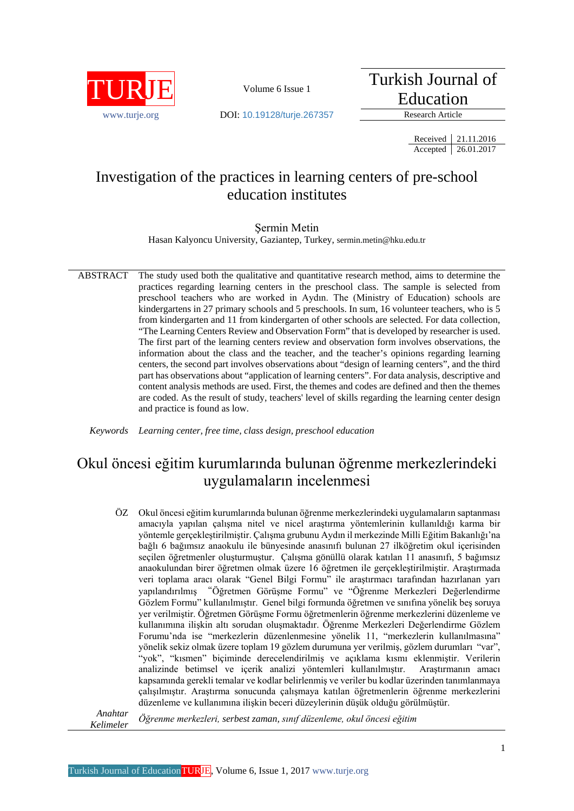

Turkish Journal of Education

www.turie.org **DOI:** 10.19128/turie.267357 Research Article

Received 21.11.2016 Accepted 26.01.2017

# Investigation of the practices in learning centers of pre-school education institutes

## Şermin Metin

Hasan Kalyoncu University, Gaziantep, Turkey, [sermin.metin@hku.edu.tr](mailto:sermin.metin@hku.edu.tr)

ABSTRACT The study used both the qualitative and quantitative research method, aims to determine the practices regarding learning centers in the preschool class. The sample is selected from preschool teachers who are worked in Aydın. The (Ministry of Education) schools are kindergartens in 27 primary schools and 5 preschools. In sum, 16 volunteer teachers, who is 5 from kindergarten and 11 from kindergarten of other schools are selected. For data collection, "The Learning Centers Review and Observation Form" that is developed by researcher is used. The first part of the learning centers review and observation form involves observations, the information about the class and the teacher, and the teacher's opinions regarding learning centers, the second part involves observations about "design of learning centers", and the third part has observations about "application of learning centers". For data analysis, descriptive and content analysis methods are used. First, the themes and codes are defined and then the themes are coded. As the result of study, teachers' level of skills regarding the learning center design and practice is found as low.

*Keywords Learning center, free time, class design, preschool education*

# Okul öncesi eğitim kurumlarında bulunan öğrenme merkezlerindeki uygulamaların incelenmesi

ÖZ Okul öncesi eğitim kurumlarında bulunan öğrenme merkezlerindeki uygulamaların saptanması amacıyla yapılan çalışma nitel ve nicel araştırma yöntemlerinin kullanıldığı karma bir yöntemle gerçekleştirilmiştir. Çalışma grubunu Aydın il merkezinde Milli Eğitim Bakanlığı'na bağlı 6 bağımsız anaokulu ile bünyesinde anasınıfı bulunan 27 ilköğretim okul içerisinden seçilen öğretmenler oluşturmuştur. Çalışma gönüllü olarak katılan 11 anasınıfı, 5 bağımsız anaokulundan birer öğretmen olmak üzere 16 öğretmen ile gerçekleştirilmiştir. Araştırmada veri toplama aracı olarak "Genel Bilgi Formu" ile araştırmacı tarafından hazırlanan yarı yapılandırılmış "Öğretmen Görüşme Formu" ve "Öğrenme Merkezleri Değerlendirme Gözlem Formu" kullanılmıştır. Genel bilgi formunda öğretmen ve sınıfına yönelik beş soruya yer verilmiştir. Öğretmen Görüşme Formu öğretmenlerin öğrenme merkezlerini düzenleme ve kullanımına ilişkin altı sorudan oluşmaktadır. Öğrenme Merkezleri Değerlendirme Gözlem Forumu'nda ise "merkezlerin düzenlenmesine yönelik 11, "merkezlerin kullanılmasına" yönelik sekiz olmak üzere toplam 19 gözlem durumuna yer verilmiş, gözlem durumları "var", "yok", "kısmen" biçiminde derecelendirilmiş ve açıklama kısmı eklenmiştir. Verilerin analizinde betimsel ve içerik analizi yöntemleri kullanılmıştır. Araştırmanın amacı kapsamında gerekli temalar ve kodlar belirlenmiş ve veriler bu kodlar üzerinden tanımlanmaya çalışılmıştır. Araştırma sonucunda çalışmaya katılan öğretmenlerin öğrenme merkezlerini düzenleme ve kullanımına ilişkin beceri düzeylerinin düşük olduğu görülmüştür.

*Anahtar Kelimeler Öğrenme merkezleri, serbest zaman, sınıf düzenleme, okul öncesi eğitim*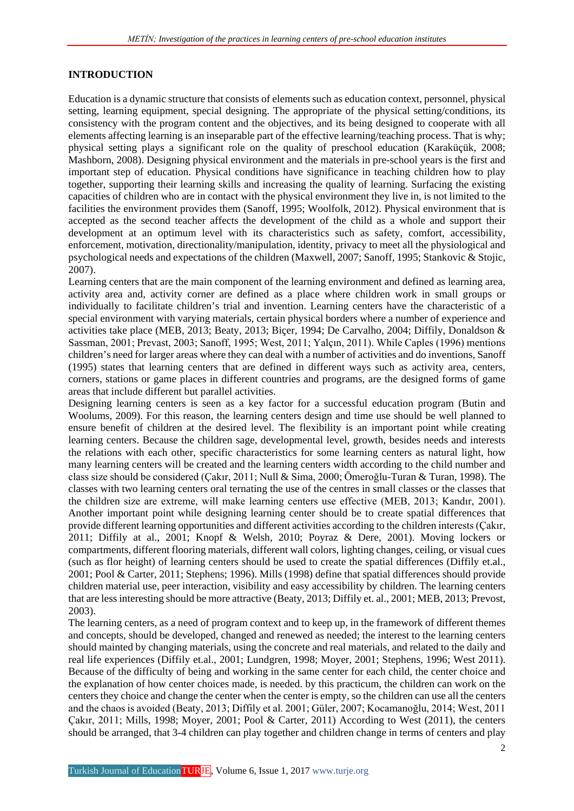#### **INTRODUCTION**

Education is a dynamic structure that consists of elements such as education context, personnel, physical setting, learning equipment, special designing. The appropriate of the physical setting/conditions, its consistency with the program content and the objectives, and its being designed to cooperate with all elements affecting learning is an inseparable part of the effective learning/teaching process. That is why; physical setting plays a significant role on the quality of preschool education (Karaküçük, 2008; Mashborn, 2008). Designing physical environment and the materials in pre-school years is the first and important step of education. Physical conditions have significance in teaching children how to play together, supporting their learning skills and increasing the quality of learning. Surfacing the existing capacities of children who are in contact with the physical environment they live in, is not limited to the facilities the environment provides them (Sanoff, 1995; Woolfolk, 2012). Physical environment that is accepted as the second teacher affects the development of the child as a whole and support their development at an optimum level with its characteristics such as safety, comfort, accessibility, enforcement, motivation, directionality/manipulation, identity, privacy to meet all the physiological and psychological needs and expectations of the children (Maxwell, 2007; Sanoff, 1995; Stankovic & Stojic, 2007).

Learning centers that are the main component of the learning environment and defined as learning area, activity area and, activity corner are defined as a place where children work in small groups or individually to facilitate children's trial and invention. Learning centers have the characteristic of a special environment with varying materials, certain physical borders where a number of experience and activities take place (MEB, 2013; Beaty, 2013; Biçer, 1994; De Carvalho, 2004; Diffily, Donaldson & Sassman, 2001; Prevast, 2003; Sanoff, 1995; West, 2011; Yalçın, 2011). While Caples (1996) mentions children's need for larger areas where they can deal with a number of activities and do inventions, Sanoff (1995) states that learning centers that are defined in different ways such as activity area, centers, corners, stations or game places in different countries and programs, are the designed forms of game areas that include different but parallel activities.

Designing learning centers is seen as a key factor for a successful education program (Butin and Woolums, 2009). For this reason, the learning centers design and time use should be well planned to ensure benefit of children at the desired level. The flexibility is an important point while creating learning centers. Because the children sage, developmental level, growth, besides needs and interests the relations with each other, specific characteristics for some learning centers as natural light, how many learning centers will be created and the learning centers width according to the child number and class size should be considered (Çakır, 2011; Null & Sima, 2000; Ömeroğlu-Turan & Turan, 1998). The classes with two learning centers oral ternating the use of the centres in small classes or the classes that the children size are extreme, will make learning centers use effective (MEB, 2013; Kandır, 2001). Another important point while designing learning center should be to create spatial differences that provide different learning opportunities and different activities according to the children interests (Çakır, 2011; Diffily at al., 2001; Knopf & Welsh, 2010; Poyraz & Dere, 2001). Moving lockers or compartments, different flooring materials, different wall colors, lighting changes, ceiling, or visual cues (such as flor height) of learning centers should be used to create the spatial differences (Diffily et.al., 2001; Pool & Carter, 2011; Stephens; 1996). Mills (1998) define that spatial differences should provide children material use, peer interaction, visibility and easy accessibility by children. The learning centers that are less interesting should be more attractive (Beaty, 2013; Diffily et. al., 2001; MEB, 2013; Prevost, 2003).

The learning centers, as a need of program context and to keep up, in the framework of different themes and concepts, should be developed, changed and renewed as needed; the interest to the learning centers should mainted by changing materials, using the concrete and real materials, and related to the daily and real life experiences (Diffily et.al., 2001; Lundgren, 1998; Moyer, 2001; Stephens, 1996; West 2011). Because of the difficulty of being and working in the same center for each child, the center choice and the explanation of how center choices made, is needed. by this practicum, the children can work on the centers they choice and change the center when the center is empty, so the children can use all the centers and the chaos is avoided (Beaty, 2013; Diffily et al. 2001; Güler, 2007; Kocamanoğlu, 2014; West, 2011 Çakır, 2011; Mills, 1998; Moyer, 2001; Pool & Carter, 2011) According to West (2011), the centers should be arranged, that 3-4 children can play together and children change in terms of centers and play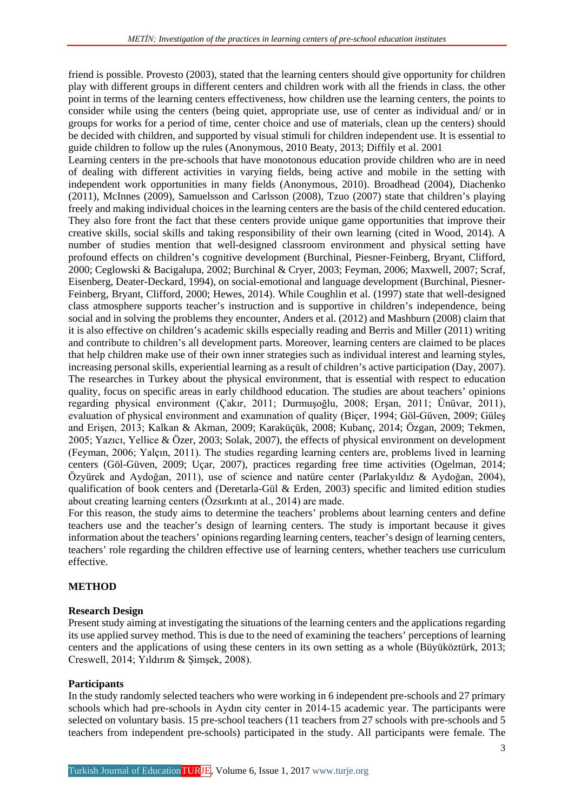friend is possible. Provesto (2003), stated that the learning centers should give opportunity for children play with different groups in different centers and children work with all the friends in class. the other point in terms of the learning centers effectiveness, how children use the learning centers, the points to consider while using the centers (being quiet, appropriate use, use of center as individual and/ or in groups for works for a period of time, center choice and use of materials, clean up the centers) should be decided with children, and supported by visual stimuli for children independent use. It is essential to guide children to follow up the rules (Anonymous, 2010 Beaty, 2013; Diffily et al. 2001

Learning centers in the pre-schools that have monotonous education provide children who are in need of dealing with different activities in varying fields, being active and mobile in the setting with independent work opportunities in many fields (Anonymous, 2010). Broadhead (2004), Diachenko (2011), McInnes (2009), Samuelsson and Carlsson (2008), Tzuo (2007) state that children's playing freely and making individual choices in the learning centers are the basis of the child centered education. They also fore front the fact that these centers provide unique game opportunities that improve their creative skills, social skills and taking responsibility of their own learning (cited in Wood, 2014). A number of studies mention that well-designed classroom environment and physical setting have profound effects on children's cognitive development (Burchinal, Piesner-Feinberg, Bryant, Clifford, 2000; Ceglowski & Bacigalupa, 2002; Burchinal & Cryer, 2003; Feyman, 2006; Maxwell, 2007; Scraf, Eisenberg, Deater-Deckard, 1994), on social-emotional and language development (Burchinal, Piesner-Feinberg, Bryant, Clifford, 2000; Hewes, 2014). While Coughlin et al. (1997) state that well-designed class atmosphere supports teacher's instruction and is supportive in children's independence, being social and in solving the problems they encounter, Anders et al. (2012) and Mashburn (2008) claim that it is also effective on children's academic skills especially reading and Berris and Miller (2011) writing and contribute to children's all development parts. Moreover, learning centers are claimed to be places that help children make use of their own inner strategies such as individual interest and learning styles, increasing personal skills, experiential learning as a result of children's active participation (Day, 2007). The researches in Turkey about the physical environment, that is essential with respect to education quality, focus on specific areas in early childhood education. The studies are about teachers' opinions regarding physical environment (Çakır, 2011; Durmuşoğlu, 2008; Erşan, 2011; Ünüvar, 2011), evaluation of physical environment and examınation of quality (Biçer, 1994; Göl-Güven, 2009; Güleş and Erişen, 2013; Kalkan & Akman, 2009; Karaküçük, 2008; Kubanç, 2014; Özgan, 2009; Tekmen, 2005; Yazıcı, Yellice & Özer, 2003; Solak, 2007), the effects of physical environment on development (Feyman, 2006; Yalçın, 2011). The studies regarding learning centers are, problems lived in learning centers (Göl-Güven, 2009; Uçar, 2007), practices regarding free time activities (Ogelman, 2014; Özyürek and Aydoğan, 2011), use of science and natüre center (Parlakyıldız & Aydoğan, 2004), qualification of book centers and (Deretarla-Gül & Erden, 2003) specific and limited edition studies about creating learning centers (Özsırkıntı at al., 2014) are made.

For this reason, the study aims to determine the teachers' problems about learning centers and define teachers use and the teacher's design of learning centers. The study is important because it gives information about the teachers' opinions regarding learning centers, teacher's design of learning centers, teachers' role regarding the children effective use of learning centers, whether teachers use curriculum effective.

#### **METHOD**

#### **Research Design**

Present study aiming at investigating the situations of the learning centers and the applications regarding its use applied survey method. This is due to the need of examining the teachers' perceptions of learning centers and the applications of using these centers in its own setting as a whole (Büyüköztürk, 2013; Creswell, 2014; Yıldırım & Şimşek, 2008).

#### **Participants**

In the study randomly selected teachers who were working in 6 independent pre-schools and 27 primary schools which had pre-schools in Aydın city center in 2014-15 academic year. The participants were selected on voluntary basis. 15 pre-school teachers (11 teachers from 27 schools with pre-schools and 5 teachers from independent pre-schools) participated in the study. All participants were female. The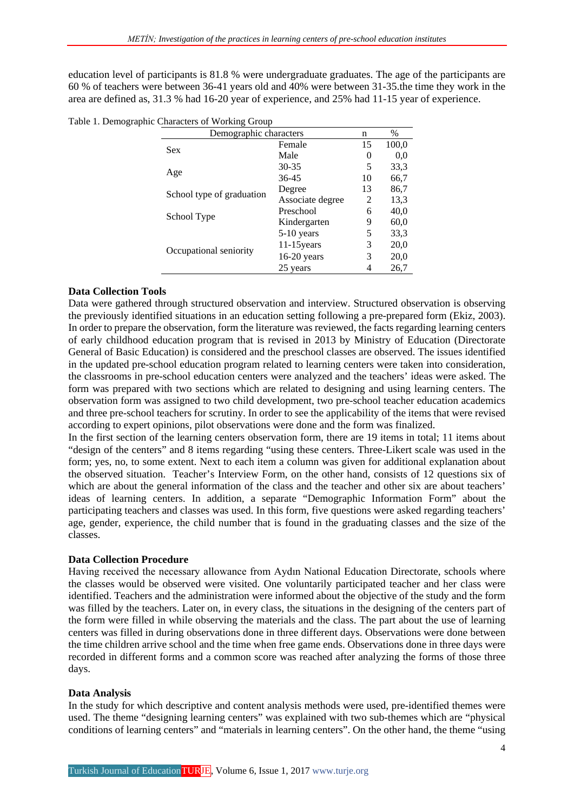education level of participants is 81.8 % were undergraduate graduates. The age of the participants are 60 % of teachers were between 36-41 years old and 40% were between 31-35.the time they work in the area are defined as, 31.3 % had 16-20 year of experience, and 25% had 11-15 year of experience.

| Table 1. Demographic Characters of Working Group |  |  |
|--------------------------------------------------|--|--|
|                                                  |  |  |

| Demographic characters    | n                | $\%$     |       |
|---------------------------|------------------|----------|-------|
| <b>Sex</b>                | Female           | 15       | 100,0 |
|                           | Male             | $\theta$ | 0.0   |
|                           | $30 - 35$        | 5        | 33.3  |
| Age                       | 36-45            | 10       | 66,7  |
|                           | Degree           | 13       | 86,7  |
| School type of graduation | Associate degree | 2        | 13,3  |
|                           | Preschool        |          | 40,0  |
| School Type               | Kindergarten     | 9        | 60,0  |
|                           | $5-10$ years     | 5        | 33.3  |
|                           | $11-15$ years    | 3        | 20,0  |
| Occupational seniority    | $16-20$ years    | 3        | 20,0  |
|                           | 25 years         | 4        | 26,7  |

## **Data Collection Tools**

Data were gathered through structured observation and interview. Structured observation is observing the previously identified situations in an education setting following a pre-prepared form (Ekiz, 2003). In order to prepare the observation, form the literature was reviewed, the facts regarding learning centers of early childhood education program that is revised in 2013 by Ministry of Education (Directorate General of Basic Education) is considered and the preschool classes are observed. The issues identified in the updated pre-school education program related to learning centers were taken into consideration, the classrooms in pre-school education centers were analyzed and the teachers' ideas were asked. The form was prepared with two sections which are related to designing and using learning centers. The observation form was assigned to two child development, two pre-school teacher education academics and three pre-school teachers for scrutiny. In order to see the applicability of the items that were revised according to expert opinions, pilot observations were done and the form was finalized.

In the first section of the learning centers observation form, there are 19 items in total; 11 items about "design of the centers" and 8 items regarding "using these centers. Three-Likert scale was used in the form; yes, no, to some extent. Next to each item a column was given for additional explanation about the observed situation. Teacher's Interview Form, on the other hand, consists of 12 questions six of which are about the general information of the class and the teacher and other six are about teachers' ideas of learning centers. In addition, a separate "Demographic Information Form" about the participating teachers and classes was used. In this form, five questions were asked regarding teachers' age, gender, experience, the child number that is found in the graduating classes and the size of the classes.

## **Data Collection Procedure**

Having received the necessary allowance from Aydın National Education Directorate, schools where the classes would be observed were visited. One voluntarily participated teacher and her class were identified. Teachers and the administration were informed about the objective of the study and the form was filled by the teachers. Later on, in every class, the situations in the designing of the centers part of the form were filled in while observing the materials and the class. The part about the use of learning centers was filled in during observations done in three different days. Observations were done between the time children arrive school and the time when free game ends. Observations done in three days were recorded in different forms and a common score was reached after analyzing the forms of those three days.

## **Data Analysis**

In the study for which descriptive and content analysis methods were used, pre-identified themes were used. The theme "designing learning centers" was explained with two sub-themes which are "physical conditions of learning centers" and "materials in learning centers". On the other hand, the theme "using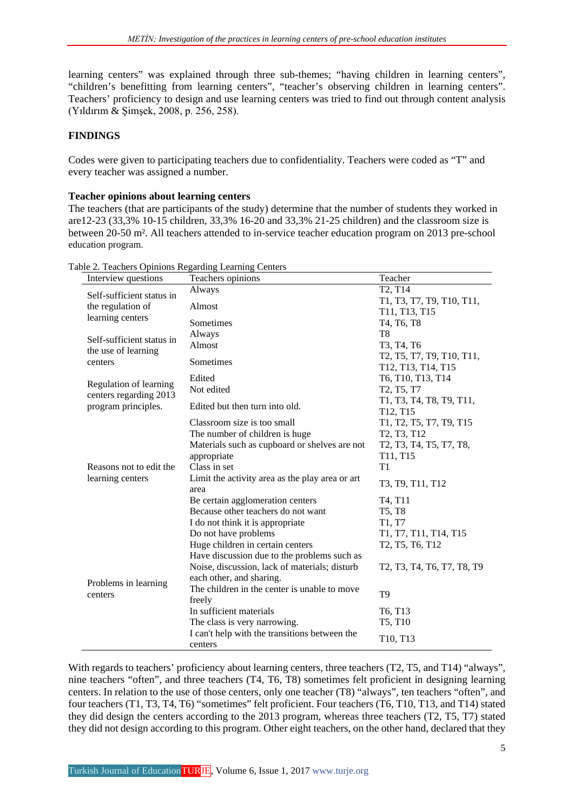learning centers" was explained through three sub-themes; "having children in learning centers", "children's benefitting from learning centers", "teacher's observing children in learning centers". Teachers' proficiency to design and use learning centers was tried to find out through content analysis (Yıldırım & Şimşek, 2008, p. 256, 258).

## **FINDINGS**

Codes were given to participating teachers due to confidentiality. Teachers were coded as "T" and every teacher was assigned a number.

## **Teacher opinions about learning centers**

The teachers (that are participants of the study) determine that the number of students they worked in are12-23 (33,3% 10-15 children, 33,3% 16-20 and 33,3% 21-25 children) and the classroom size is between 20-50 m². All teachers attended to in-service teacher education program on 2013 pre-school education program.

| Interview questions       | Teachers opinions                                       | Teacher                                                                                                              |  |
|---------------------------|---------------------------------------------------------|----------------------------------------------------------------------------------------------------------------------|--|
| Self-sufficient status in | Always                                                  | T2, T14                                                                                                              |  |
| the regulation of         | Almost                                                  | T1, T3, T7, T9, T10, T11,                                                                                            |  |
| learning centers          |                                                         | T11, T13, T15                                                                                                        |  |
|                           | Sometimes                                               | T4, T6, T8                                                                                                           |  |
| Self-sufficient status in | Always                                                  | T <sub>8</sub>                                                                                                       |  |
| the use of learning       | Almost                                                  | T3, T4, T6                                                                                                           |  |
| centers                   | Sometimes                                               | T2, T5, T7, T9, T10, T11,                                                                                            |  |
|                           |                                                         | T12, T13, T14, T15                                                                                                   |  |
| Regulation of learning    | Edited                                                  | T6, T10, T13, T14                                                                                                    |  |
| centers regarding 2013    | Not edited                                              | T2, T5, T7                                                                                                           |  |
| program principles.       | Edited but then turn into old.                          | T1, T3, T4, T8, T9, T11,                                                                                             |  |
|                           |                                                         | T12, T15                                                                                                             |  |
|                           | Classroom size is too small                             | T1, T2, T5, T7, T9, T15                                                                                              |  |
|                           | The number of children is huge                          | T2, T3, T12                                                                                                          |  |
|                           | Materials such as cupboard or shelves are not           | T2, T3, T4, T5, T7, T8,                                                                                              |  |
|                           | appropriate                                             | T11, T15                                                                                                             |  |
| Reasons not to edit the   | Class in set                                            | T1                                                                                                                   |  |
| learning centers          | Limit the activity area as the play area or art<br>area | T3, T9, T11, T12                                                                                                     |  |
|                           | Be certain agglomeration centers                        | T4, T11                                                                                                              |  |
|                           | Because other teachers do not want                      | <b>T5, T8</b>                                                                                                        |  |
|                           | I do not think it is appropriate                        | T1, T7                                                                                                               |  |
|                           | Do not have problems                                    | T1, T7, T11, T14, T15                                                                                                |  |
|                           | Huge children in certain centers                        | T2, T5, T6, T12                                                                                                      |  |
|                           | Have discussion due to the problems such as             |                                                                                                                      |  |
|                           | Noise, discussion, lack of materials; disturb           | T <sub>2</sub> , T <sub>3</sub> , T <sub>4</sub> , T <sub>6</sub> , T <sub>7</sub> , T <sub>8</sub> , T <sub>9</sub> |  |
|                           | each other, and sharing.                                |                                                                                                                      |  |
| Problems in learning      | The children in the center is unable to move            |                                                                                                                      |  |
| centers                   | freely                                                  | T <sub>9</sub>                                                                                                       |  |
|                           | In sufficient materials                                 | T6, T13                                                                                                              |  |
|                           | The class is very narrowing.                            | T5, T10                                                                                                              |  |
|                           | I can't help with the transitions between the           | T10, T13                                                                                                             |  |
|                           | centers                                                 |                                                                                                                      |  |

Table 2. Teachers Opinions Regarding Learning Centers

With regards to teachers' proficiency about learning centers, three teachers (T2, T5, and T14) "always", nine teachers "often", and three teachers (T4, T6, T8) sometimes felt proficient in designing learning centers. In relation to the use of those centers, only one teacher (T8) "always", ten teachers "often", and four teachers (T1, T3, T4, T6) "sometimes" felt proficient. Four teachers (T6, T10, T13, and T14) stated they did design the centers according to the 2013 program, whereas three teachers (T2, T5, T7) stated they did not design according to this program. Other eight teachers, on the other hand, declared that they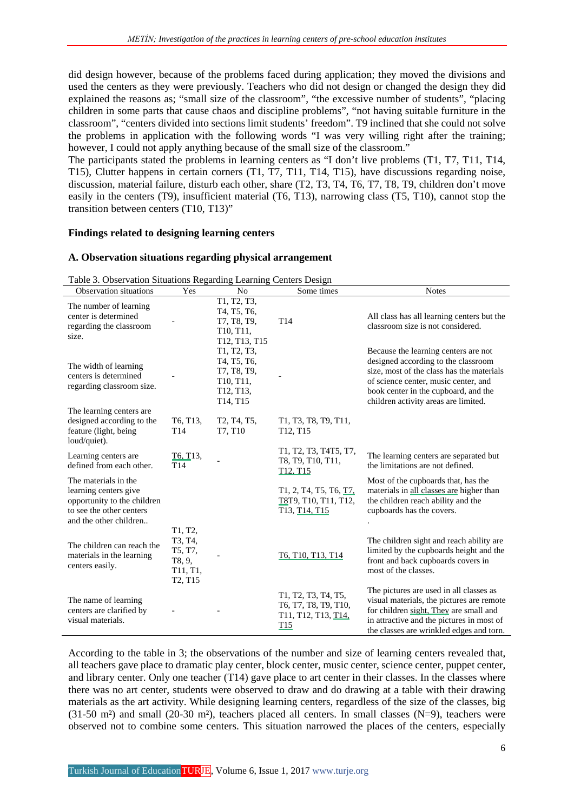did design however, because of the problems faced during application; they moved the divisions and used the centers as they were previously. Teachers who did not design or changed the design they did explained the reasons as; "small size of the classroom", "the excessive number of students", "placing children in some parts that cause chaos and discipline problems", "not having suitable furniture in the classroom", "centers divided into sections limit students' freedom". T9 inclined that she could not solve the problems in application with the following words "I was very willing right after the training; however, I could not apply anything because of the small size of the classroom."

The participants stated the problems in learning centers as "I don't live problems (T1, T7, T11, T14, T15), Clutter happens in certain corners (T1, T7, T11, T14, T15), have discussions regarding noise, discussion, material failure, disturb each other, share (T2, T3, T4, T6, T7, T8, T9, children don't move easily in the centers (T9), insufficient material (T6, T13), narrowing class (T5, T10), cannot stop the transition between centers (T10, T13)"

#### **Findings related to designing learning centers**

#### **A. Observation situations regarding physical arrangement**

| raoic 5. Observation Britanons regarding Ecarning Centers Design<br>Observation situations                                         | Yes                                                                                                               | N <sub>0</sub>                                                                  | Some times                                                                                                                              | <b>Notes</b>                                                                                                                                                                                                                                     |
|------------------------------------------------------------------------------------------------------------------------------------|-------------------------------------------------------------------------------------------------------------------|---------------------------------------------------------------------------------|-----------------------------------------------------------------------------------------------------------------------------------------|--------------------------------------------------------------------------------------------------------------------------------------------------------------------------------------------------------------------------------------------------|
|                                                                                                                                    |                                                                                                                   |                                                                                 |                                                                                                                                         |                                                                                                                                                                                                                                                  |
| The number of learning<br>center is determined<br>regarding the classroom<br>size.                                                 |                                                                                                                   | T1, T2, T3,<br>T4, T5, T6,<br>T7, T8, T9,<br>T10, T11,<br>T12, T13, T15         | T <sub>14</sub>                                                                                                                         | All class has all learning centers but the<br>classroom size is not considered.                                                                                                                                                                  |
| The width of learning<br>centers is determined<br>regarding classroom size.                                                        |                                                                                                                   | T1, T2, T3,<br>T4, T5, T6,<br>T7, T8, T9,<br>T10, T11,<br>T12, T13,<br>T14, T15 |                                                                                                                                         | Because the learning centers are not<br>designed according to the classroom<br>size, most of the class has the materials<br>of science center, music center, and<br>book center in the cupboard, and the<br>children activity areas are limited. |
| The learning centers are.<br>designed according to the<br>feature (light, being)<br>loud/quiet).                                   | T6, T13.<br>T <sub>14</sub>                                                                                       | T <sub>2</sub> , T <sub>4</sub> , T <sub>5</sub> ,<br>T7, T10                   | T1, T3, T8, T9, T11,<br>T12, T15                                                                                                        |                                                                                                                                                                                                                                                  |
| Learning centers are.<br>defined from each other.                                                                                  | T6, T13,<br>T <sub>14</sub>                                                                                       |                                                                                 | T1, T2, T3, T4T5, T7,<br>T8, T9, T10, T11,<br>T <sub>12</sub> , T <sub>15</sub>                                                         | The learning centers are separated but<br>the limitations are not defined.                                                                                                                                                                       |
| The materials in the<br>learning centers give<br>opportunity to the children<br>to see the other centers<br>and the other children |                                                                                                                   |                                                                                 | T <sub>1</sub> , 2, T <sub>4</sub> , T <sub>5</sub> , T <sub>6</sub> , T <sub>7</sub><br>T8T9, T10, T11, T12,<br>T13, T14, T15          | Most of the cupboards that, has the<br>materials in all classes are higher than<br>the children reach ability and the<br>cupboards has the covers.                                                                                               |
| The children can reach the<br>materials in the learning<br>centers easily.                                                         | T1, T2,<br>T3, T4,<br>T5, T7,<br>T8, 9,<br>T <sub>11</sub> , T <sub>1</sub> ,<br>T <sub>2</sub> , T <sub>15</sub> |                                                                                 | T6. T10. T13. T14                                                                                                                       | The children sight and reach ability are<br>limited by the cupboards height and the<br>front and back cupboards covers in<br>most of the classes.                                                                                                |
| The name of learning<br>centers are clarified by<br>visual materials.                                                              |                                                                                                                   |                                                                                 | T1, T2, T3, T4, T5,<br>T6, T7, T8, T9, T10,<br>T <sub>11</sub> , T <sub>12</sub> , T <sub>13</sub> , T <sub>14</sub><br>T <sub>15</sub> | The pictures are used in all classes as<br>visual materials, the pictures are remote<br>for children sight. They are small and<br>in attractive and the pictures in most of<br>the classes are wrinkled edges and torn.                          |

Table 3. Observation Situations Regarding Learning Centers Design

According to the table in 3; the observations of the number and size of learning centers revealed that, all teachers gave place to dramatic play center, block center, music center, science center, puppet center, and library center. Only one teacher (T14) gave place to art center in their classes. In the classes where there was no art center, students were observed to draw and do drawing at a table with their drawing materials as the art activity. While designing learning centers, regardless of the size of the classes, big  $(31-50 \text{ m}^2)$  and small  $(20-30 \text{ m}^2)$ , teachers placed all centers. In small classes  $(N=9)$ , teachers were observed not to combine some centers. This situation narrowed the places of the centers, especially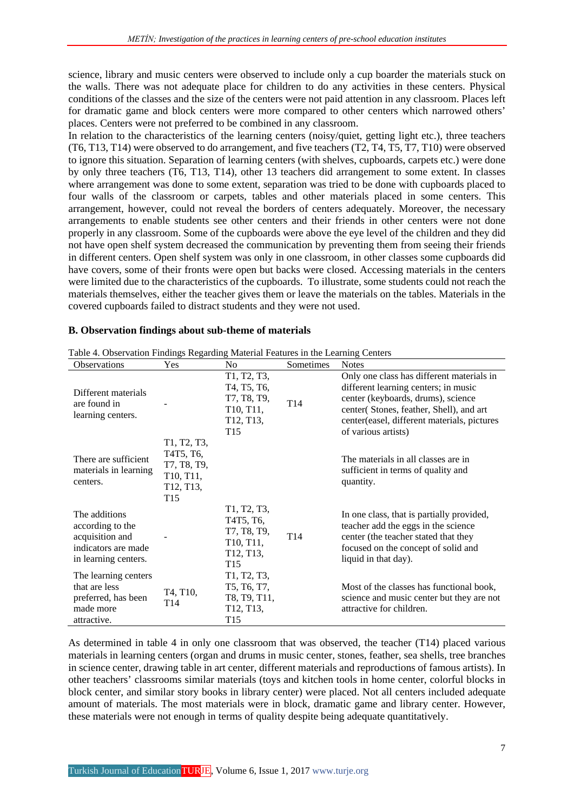science, library and music centers were observed to include only a cup boarder the materials stuck on the walls. There was not adequate place for children to do any activities in these centers. Physical conditions of the classes and the size of the centers were not paid attention in any classroom. Places left for dramatic game and block centers were more compared to other centers which narrowed others' places. Centers were not preferred to be combined in any classroom.

In relation to the characteristics of the learning centers (noisy/quiet, getting light etc.), three teachers (T6, T13, T14) were observed to do arrangement, and five teachers (T2, T4, T5, T7, T10) were observed to ignore this situation. Separation of learning centers (with shelves, cupboards, carpets etc.) were done by only three teachers (T6, T13, T14), other 13 teachers did arrangement to some extent. In classes where arrangement was done to some extent, separation was tried to be done with cupboards placed to four walls of the classroom or carpets, tables and other materials placed in some centers. This arrangement, however, could not reveal the borders of centers adequately. Moreover, the necessary arrangements to enable students see other centers and their friends in other centers were not done properly in any classroom. Some of the cupboards were above the eye level of the children and they did not have open shelf system decreased the communication by preventing them from seeing their friends in different centers. Open shelf system was only in one classroom, in other classes some cupboards did have covers, some of their fronts were open but backs were closed. Accessing materials in the centers were limited due to the characteristics of the cupboards. To illustrate, some students could not reach the materials themselves, either the teacher gives them or leave the materials on the tables. Materials in the covered cupboards failed to distract students and they were not used.

| Table 4. Observation Findings Regarding Material Features in the Learning Centers                   |                                                                                      |                                                                                                                                                                                                |                 |                                                                                                                                                                                                                                          |  |
|-----------------------------------------------------------------------------------------------------|--------------------------------------------------------------------------------------|------------------------------------------------------------------------------------------------------------------------------------------------------------------------------------------------|-----------------|------------------------------------------------------------------------------------------------------------------------------------------------------------------------------------------------------------------------------------------|--|
| <b>Observations</b>                                                                                 | Yes                                                                                  | N <sub>0</sub>                                                                                                                                                                                 | Sometimes       | <b>Notes</b>                                                                                                                                                                                                                             |  |
| Different materials<br>are found in<br>learning centers.                                            |                                                                                      | T <sub>1</sub> , T <sub>2</sub> , T <sub>3</sub> ,<br>T <sub>4</sub> , T <sub>5</sub> , T <sub>6</sub> ,<br>T7, T8, T9,<br>T10, T11,<br>T <sub>12</sub> , T <sub>13</sub> ,<br>T <sub>15</sub> | T <sub>14</sub> | Only one class has different materials in<br>different learning centers; in music<br>center (keyboards, drums), science<br>center(Stones, feather, Shell), and art<br>center(easel, different materials, pictures<br>of various artists) |  |
| There are sufficient<br>materials in learning<br>centers.                                           | T1, T2, T3,<br>T4T5, T6,<br>T7, T8, T9,<br>T10, T11,<br>T12, T13,<br>T <sub>15</sub> |                                                                                                                                                                                                |                 | The materials in all classes are in<br>sufficient in terms of quality and<br>quantity.                                                                                                                                                   |  |
| The additions<br>according to the<br>acquisition and<br>indicators are made<br>in learning centers. |                                                                                      | T1, T2, T3,<br>T <sub>4</sub> T <sub>5</sub> , T <sub>6</sub><br>T7, T8, T9,<br>T <sub>10</sub> , T <sub>11</sub> ,<br>T <sub>12</sub> , T <sub>13</sub> ,<br>T <sub>15</sub>                  | T14             | In one class, that is partially provided,<br>teacher add the eggs in the science<br>center (the teacher stated that they<br>focused on the concept of solid and<br>liquid in that day).                                                  |  |
| The learning centers<br>that are less<br>preferred, has been<br>made more<br>attractive.            | T4, T10,<br>T14                                                                      | T <sub>1</sub> , T <sub>2</sub> , T <sub>3</sub> ,<br>T5, T6, T7,<br>T8, T9, T11,<br>T12, T13,<br>T <sub>15</sub>                                                                              |                 | Most of the classes has functional book,<br>science and music center but they are not<br>attractive for children.                                                                                                                        |  |

## **B. Observation findings about sub-theme of materials**

As determined in table 4 in only one classroom that was observed, the teacher (T14) placed various materials in learning centers (organ and drums in music center, stones, feather, sea shells, tree branches in science center, drawing table in art center, different materials and reproductions of famous artists). In other teachers' classrooms similar materials (toys and kitchen tools in home center, colorful blocks in block center, and similar story books in library center) were placed. Not all centers included adequate amount of materials. The most materials were in block, dramatic game and library center. However, these materials were not enough in terms of quality despite being adequate quantitatively.

7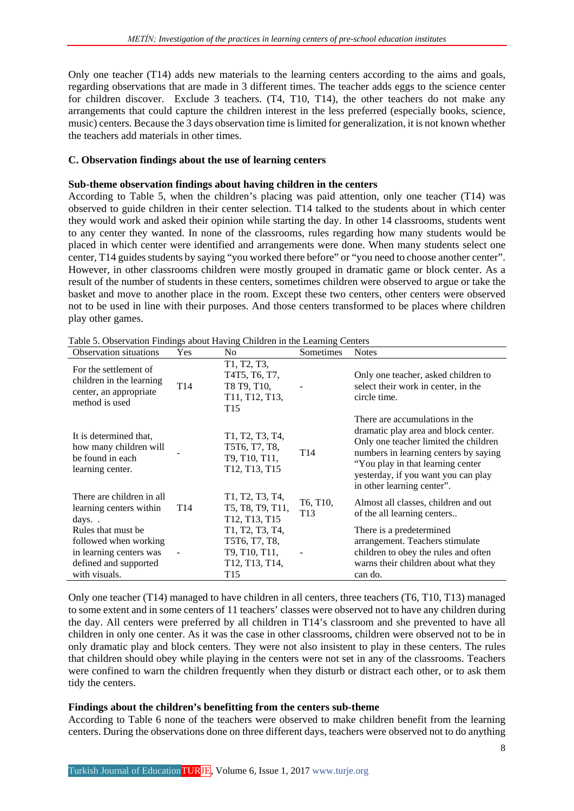Only one teacher (T14) adds new materials to the learning centers according to the aims and goals, regarding observations that are made in 3 different times. The teacher adds eggs to the science center for children discover. Exclude 3 teachers. (T4, T10, T14), the other teachers do not make any arrangements that could capture the children interest in the less preferred (especially books, science, music) centers. Because the 3 days observation time is limited for generalization, it is not known whether the teachers add materials in other times.

## **C. Observation findings about the use of learning centers**

## **Sub-theme observation findings about having children in the centers**

According to Table 5, when the children's placing was paid attention, only one teacher (T14) was observed to guide children in their center selection. T14 talked to the students about in which center they would work and asked their opinion while starting the day. In other 14 classrooms, students went to any center they wanted. In none of the classrooms, rules regarding how many students would be placed in which center were identified and arrangements were done. When many students select one center, T14 guides students by saying "you worked there before" or "you need to choose another center". However, in other classrooms children were mostly grouped in dramatic game or block center. As a result of the number of students in these centers, sometimes children were observed to argue or take the basket and move to another place in the room. Except these two centers, other centers were observed not to be used in line with their purposes. And those centers transformed to be places where children play other games.

| <b>Observation situations</b>                                                                                    | Yes.            | No.                                                                                                      | Sometimes                   | <b>Notes</b>                                                                                                                                                                                                                                                        |
|------------------------------------------------------------------------------------------------------------------|-----------------|----------------------------------------------------------------------------------------------------------|-----------------------------|---------------------------------------------------------------------------------------------------------------------------------------------------------------------------------------------------------------------------------------------------------------------|
| For the settlement of<br>children in the learning<br>center, an appropriate<br>method is used                    | T <sub>14</sub> | T1, T2, T3,<br>T4T5, T6, T7,<br>T8 T9, T10,<br>T11, T12, T13,<br>T <sub>15</sub>                         |                             | Only one teacher, asked children to<br>select their work in center, in the<br>circle time.                                                                                                                                                                          |
| It is determined that,<br>how many children will<br>be found in each<br>learning center.                         |                 | T1, T2, T3, T4,<br>T5T6, T7, T8,<br>T9, T10, T11,<br>T <sub>12</sub> , T <sub>13</sub> , T <sub>15</sub> | T <sub>14</sub>             | There are accumulations in the<br>dramatic play area and block center.<br>Only one teacher limited the children<br>numbers in learning centers by saying<br>"You play in that learning center"<br>yesterday, if you want you can play<br>in other learning center". |
| There are children in all<br>learning centers within<br>days                                                     | T <sub>14</sub> | T1, T2, T3, T4,<br>T5, T8, T9, T11,<br>T12, T13, T15                                                     | T6, T10,<br>T <sub>13</sub> | Almost all classes, children and out<br>of the all learning centers                                                                                                                                                                                                 |
| Rules that must be<br>followed when working<br>in learning centers was<br>defined and supported<br>with visuals. |                 | T1, T2, T3, T4,<br>T5T6, T7, T8,<br>T9, T10, T11,<br>T12, T13, T14,<br>T <sub>15</sub>                   |                             | There is a predetermined<br>arrangement. Teachers stimulate<br>children to obey the rules and often<br>warns their children about what they<br>can do.                                                                                                              |

Table 5. Observation Findings about Having Children in the Learning Centers

Only one teacher (T14) managed to have children in all centers, three teachers (T6, T10, T13) managed to some extent and in some centers of 11 teachers' classes were observed not to have any children during the day. All centers were preferred by all children in T14's classroom and she prevented to have all children in only one center. As it was the case in other classrooms, children were observed not to be in only dramatic play and block centers. They were not also insistent to play in these centers. The rules that children should obey while playing in the centers were not set in any of the classrooms. Teachers were confined to warn the children frequently when they disturb or distract each other, or to ask them tidy the centers.

## **Findings about the children's benefitting from the centers sub-theme**

According to Table 6 none of the teachers were observed to make children benefit from the learning centers. During the observations done on three different days, teachers were observed not to do anything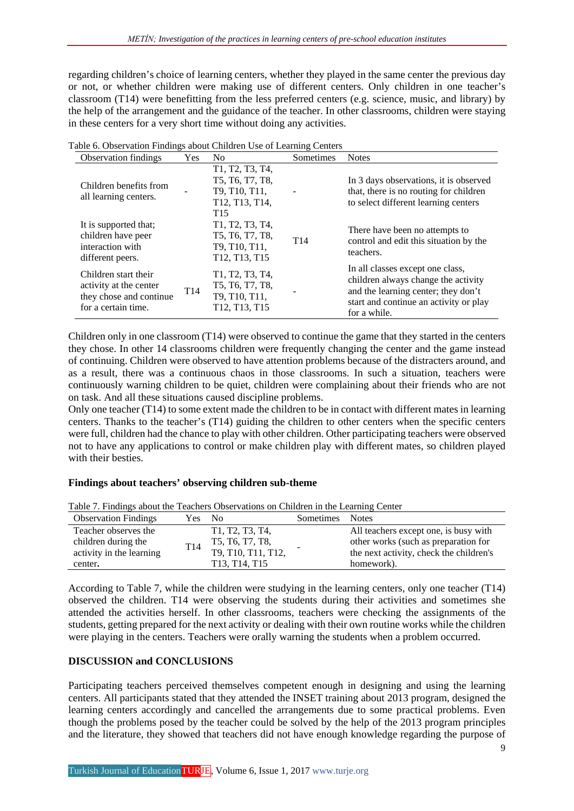regarding children's choice of learning centers, whether they played in the same center the previous day or not, or whether children were making use of different centers. Only children in one teacher's classroom (T14) were benefitting from the less preferred centers (e.g. science, music, and library) by the help of the arrangement and the guidance of the teacher. In other classrooms, children were staying in these centers for a very short time without doing any activities.

| <b>Observation findings</b>                                                                      | <b>Yes</b>      | N <sub>0</sub>                                                                                                                                                                                        | Sometimes       | <b>Notes</b>                                                                                                                                                             |
|--------------------------------------------------------------------------------------------------|-----------------|-------------------------------------------------------------------------------------------------------------------------------------------------------------------------------------------------------|-----------------|--------------------------------------------------------------------------------------------------------------------------------------------------------------------------|
| Children benefits from<br>all learning centers.                                                  |                 | T1, T2, T3, T4,<br>T5, T6, T7, T8,<br>T9, T10, T11,<br>T12, T13, T14,<br>T <sub>15</sub>                                                                                                              |                 | In 3 days observations, it is observed<br>that, there is no routing for children<br>to select different learning centers                                                 |
| It is supported that;<br>children have peer<br>interaction with<br>different peers.              |                 | T <sub>1</sub> , T <sub>2</sub> , T <sub>3</sub> , T <sub>4</sub> ,<br>T5, T6, T7, T8,<br>T <sub>9</sub> , T <sub>10</sub> , T <sub>11</sub> ,<br>T <sub>12</sub> , T <sub>13</sub> , T <sub>15</sub> | T <sub>14</sub> | There have been no attempts to<br>control and edit this situation by the<br>teachers.                                                                                    |
| Children start their<br>activity at the center<br>they chose and continue<br>for a certain time. | T <sub>14</sub> | T <sub>1</sub> , T <sub>2</sub> , T <sub>3</sub> , T <sub>4</sub> ,<br>T5, T6, T7, T8,<br>T9, T10, T11,<br>T <sub>12</sub> , T <sub>13</sub> , T <sub>15</sub>                                        |                 | In all classes except one class,<br>children always change the activity<br>and the learning center; they don't<br>start and continue an activity or play<br>for a while. |

Table 6. Observation Findings about Children Use of Learning Centers

Children only in one classroom (T14) were observed to continue the game that they started in the centers they chose. In other 14 classrooms children were frequently changing the center and the game instead of continuing. Children were observed to have attention problems because of the distracters around, and as a result, there was a continuous chaos in those classrooms. In such a situation, teachers were continuously warning children to be quiet, children were complaining about their friends who are not on task. And all these situations caused discipline problems.

Only one teacher (T14) to some extent made the children to be in contact with different mates in learning centers. Thanks to the teacher's (T14) guiding the children to other centers when the specific centers were full, children had the chance to play with other children. Other participating teachers were observed not to have any applications to control or make children play with different mates, so children played with their besties.

## **Findings about teachers' observing children sub-theme**

| Tuble 7.1 main go about the Teachers Observations on Christien in the Ecumnis, Center |        |                                                                     |                 |                                         |  |
|---------------------------------------------------------------------------------------|--------|---------------------------------------------------------------------|-----------------|-----------------------------------------|--|
| <b>Observation Findings</b>                                                           | Yes No |                                                                     | Sometimes Notes |                                         |  |
| Teacher observes the                                                                  |        | T <sub>1</sub> , T <sub>2</sub> , T <sub>3</sub> , T <sub>4</sub> , |                 | All teachers except one, is busy with   |  |
| children during the                                                                   | T14    | T5, T6, T7, T8,                                                     |                 | other works (such as preparation for    |  |
| activity in the learning                                                              |        | T9, T10, T11, T12,                                                  |                 | the next activity, check the children's |  |
| center.                                                                               |        | T <sub>13</sub> , T <sub>14</sub> , T <sub>15</sub>                 |                 | homework).                              |  |

Table 7. Findings about the Teachers Observations on Children in the Learning Center

According to Table 7, while the children were studying in the learning centers, only one teacher (T14) observed the children. T14 were observing the students during their activities and sometimes she attended the activities herself. In other classrooms, teachers were checking the assignments of the students, getting prepared for the next activity or dealing with their own routine works while the children were playing in the centers. Teachers were orally warning the students when a problem occurred.

## **DISCUSSION and CONCLUSIONS**

Participating teachers perceived themselves competent enough in designing and using the learning centers. All participants stated that they attended the INSET training about 2013 program, designed the learning centers accordingly and cancelled the arrangements due to some practical problems. Even though the problems posed by the teacher could be solved by the help of the 2013 program principles and the literature, they showed that teachers did not have enough knowledge regarding the purpose of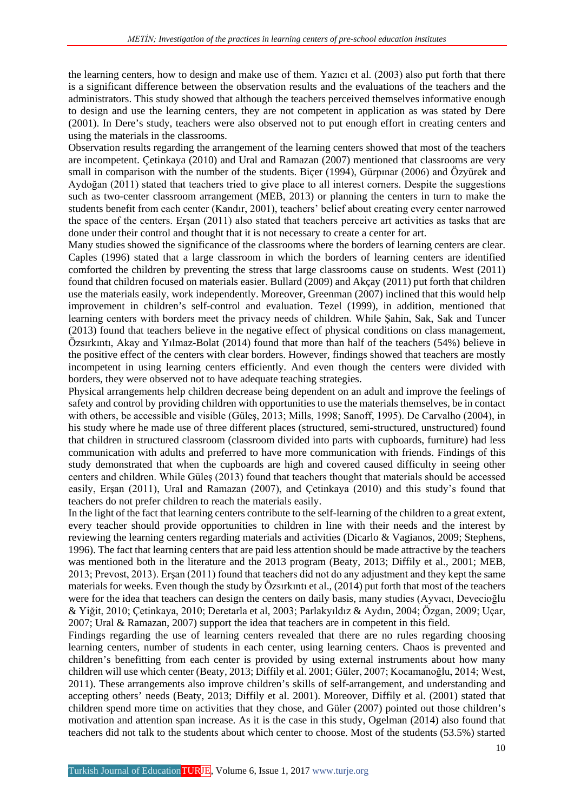the learning centers, how to design and make use of them. Yazıcı et al. (2003) also put forth that there is a significant difference between the observation results and the evaluations of the teachers and the administrators. This study showed that although the teachers perceived themselves informative enough to design and use the learning centers, they are not competent in application as was stated by Dere (2001). In Dere's study, teachers were also observed not to put enough effort in creating centers and using the materials in the classrooms.

Observation results regarding the arrangement of the learning centers showed that most of the teachers are incompetent. Çetinkaya (2010) and Ural and Ramazan (2007) mentioned that classrooms are very small in comparison with the number of the students. Biçer (1994), Gürpınar (2006) and Özyürek and Aydoğan (2011) stated that teachers tried to give place to all interest corners. Despite the suggestions such as two-center classroom arrangement (MEB, 2013) or planning the centers in turn to make the students benefit from each center (Kandır, 2001), teachers' belief about creating every center narrowed the space of the centers. Erşan (2011) also stated that teachers perceive art activities as tasks that are done under their control and thought that it is not necessary to create a center for art.

Many studies showed the significance of the classrooms where the borders of learning centers are clear. Caples (1996) stated that a large classroom in which the borders of learning centers are identified comforted the children by preventing the stress that large classrooms cause on students. West (2011) found that children focused on materials easier. Bullard (2009) and Akçay (2011) put forth that children use the materials easily, work independently. Moreover, Greenman (2007) inclined that this would help improvement in children's self-control and evaluation. Tezel (1999), in addition, mentioned that learning centers with borders meet the privacy needs of children. While Şahin, Sak, Sak and Tuncer (2013) found that teachers believe in the negative effect of physical conditions on class management, Özsırkıntı, Akay and Yılmaz-Bolat (2014) found that more than half of the teachers (54%) believe in the positive effect of the centers with clear borders. However, findings showed that teachers are mostly incompetent in using learning centers efficiently. And even though the centers were divided with borders, they were observed not to have adequate teaching strategies.

Physical arrangements help children decrease being dependent on an adult and improve the feelings of safety and control by providing children with opportunities to use the materials themselves, be in contact with others, be accessible and visible (Güleş, 2013; Mills, 1998; Sanoff, 1995). De Carvalho (2004), in his study where he made use of three different places (structured, semi-structured, unstructured) found that children in structured classroom (classroom divided into parts with cupboards, furniture) had less communication with adults and preferred to have more communication with friends. Findings of this study demonstrated that when the cupboards are high and covered caused difficulty in seeing other centers and children. While Güleş (2013) found that teachers thought that materials should be accessed easily, Erşan (2011), Ural and Ramazan (2007), and Çetinkaya (2010) and this study's found that teachers do not prefer children to reach the materials easily.

In the light of the fact that learning centers contribute to the self-learning of the children to a great extent, every teacher should provide opportunities to children in line with their needs and the interest by reviewing the learning centers regarding materials and activities (Dicarlo & Vagianos, 2009; Stephens, 1996). The fact that learning centers that are paid less attention should be made attractive by the teachers was mentioned both in the literature and the 2013 program (Beaty, 2013; Diffily et al., 2001; MEB, 2013; Prevost, 2013). Erşan (2011) found that teachers did not do any adjustment and they kept the same materials for weeks. Even though the study by Özsırkıntı et al., (2014) put forth that most of the teachers were for the idea that teachers can design the centers on daily basis, many studies (Ayvacı, Devecioğlu & Yiğit, 2010; Çetinkaya, 2010; Deretarla et al, 2003; Parlakyıldız & Aydın, 2004; Özgan, 2009; Uçar, 2007; Ural & Ramazan, 2007) support the idea that teachers are in competent in this field.

Findings regarding the use of learning centers revealed that there are no rules regarding choosing learning centers, number of students in each center, using learning centers. Chaos is prevented and children's benefitting from each center is provided by using external instruments about how many children will use which center (Beaty, 2013; Diffily et al. 2001; Güler, 2007; Kocamanoğlu, 2014; West, 2011). These arrangements also improve children's skills of self-arrangement, and understanding and accepting others' needs (Beaty, 2013; Diffily et al. 2001). Moreover, Diffily et al. (2001) stated that children spend more time on activities that they chose, and Güler (2007) pointed out those children's motivation and attention span increase. As it is the case in this study, Ogelman (2014) also found that teachers did not talk to the students about which center to choose. Most of the students (53.5%) started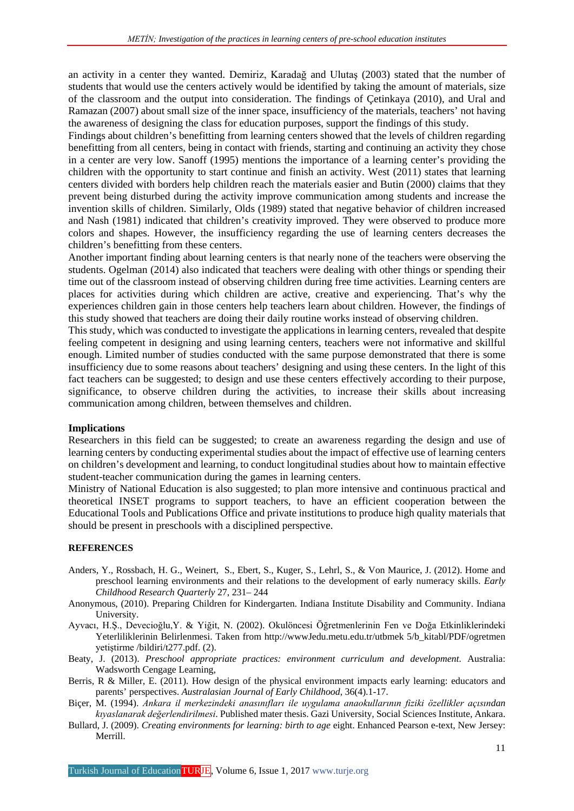an activity in a center they wanted. Demiriz, Karadağ and Ulutaş (2003) stated that the number of students that would use the centers actively would be identified by taking the amount of materials, size of the classroom and the output into consideration. The findings of Çetinkaya (2010), and Ural and Ramazan (2007) about small size of the inner space, insufficiency of the materials, teachers' not having the awareness of designing the class for education purposes, support the findings of this study.

Findings about children's benefitting from learning centers showed that the levels of children regarding benefitting from all centers, being in contact with friends, starting and continuing an activity they chose in a center are very low. Sanoff (1995) mentions the importance of a learning center's providing the children with the opportunity to start continue and finish an activity. West (2011) states that learning centers divided with borders help children reach the materials easier and Butin (2000) claims that they prevent being disturbed during the activity improve communication among students and increase the invention skills of children. Similarly, Olds (1989) stated that negative behavior of children increased and Nash (1981) indicated that children's creativity improved. They were observed to produce more colors and shapes. However, the insufficiency regarding the use of learning centers decreases the children's benefitting from these centers.

Another important finding about learning centers is that nearly none of the teachers were observing the students. Ogelman (2014) also indicated that teachers were dealing with other things or spending their time out of the classroom instead of observing children during free time activities. Learning centers are places for activities during which children are active, creative and experiencing. That's why the experiences children gain in those centers help teachers learn about children. However, the findings of this study showed that teachers are doing their daily routine works instead of observing children.

This study, which was conducted to investigate the applications in learning centers, revealed that despite feeling competent in designing and using learning centers, teachers were not informative and skillful enough. Limited number of studies conducted with the same purpose demonstrated that there is some insufficiency due to some reasons about teachers' designing and using these centers. In the light of this fact teachers can be suggested; to design and use these centers effectively according to their purpose, significance, to observe children during the activities, to increase their skills about increasing communication among children, between themselves and children.

#### **Implications**

Researchers in this field can be suggested; to create an awareness regarding the design and use of learning centers by conducting experimental studies about the impact of effective use of learning centers on children's development and learning, to conduct longitudinal studies about how to maintain effective student-teacher communication during the games in learning centers.

Ministry of National Education is also suggested; to plan more intensive and continuous practical and theoretical INSET programs to support teachers, to have an efficient cooperation between the Educational Tools and Publications Office and private institutions to produce high quality materials that should be present in preschools with a disciplined perspective.

#### **REFERENCES**

- Anders, Y., Rossbach, H. G., Weinert, S., Ebert, S., Kuger, S., Lehrl, S., & Von Maurice, J. (2012). Home and preschool learning environments and their relations to the development of early numeracy skills. *Early Childhood Research Quarterly* 27, 231– 244
- Anonymous, (2010). Preparing Children for Kindergarten. Indiana Institute Disability and Community. Indiana University.
- Ayvacı, H.Ş., Devecioğlu,Y. & Yiğit, N. (2002). Okulöncesi Öğretmenlerinin Fen ve Doğa Etkinliklerindeki Yeterliliklerinin Belirlenmesi. Taken from http://wwwJedu.metu.edu.tr/utbmek 5/b\_kitabl/PDF/ogretmen yetiştirme /bildiri/t277.pdf. (2).
- Beaty, J. (2013). *Preschool appropriate practices: environment curriculum and development*. Australia: Wadsworth Cengage Learning,
- Berris, R & Miller, E. (2011). How design of the physical environment impacts early learning: educators and parents' perspectives. *Australasian Journal of Early Childhood*, 36(4).1-17.
- Biçer, M. (1994). *Ankara il merkezindeki anasınıfları ile uygulama anaokullarının fiziki özellikler açısından kıyaslanarak değerlendirilmesi*. Published mater thesis. Gazi University, Social Sciences Institute, Ankara.
- Bullard, J. (2009). *Creating environments for learning: birth to age* eight. Enhanced Pearson e-text, New Jersey: Merrill.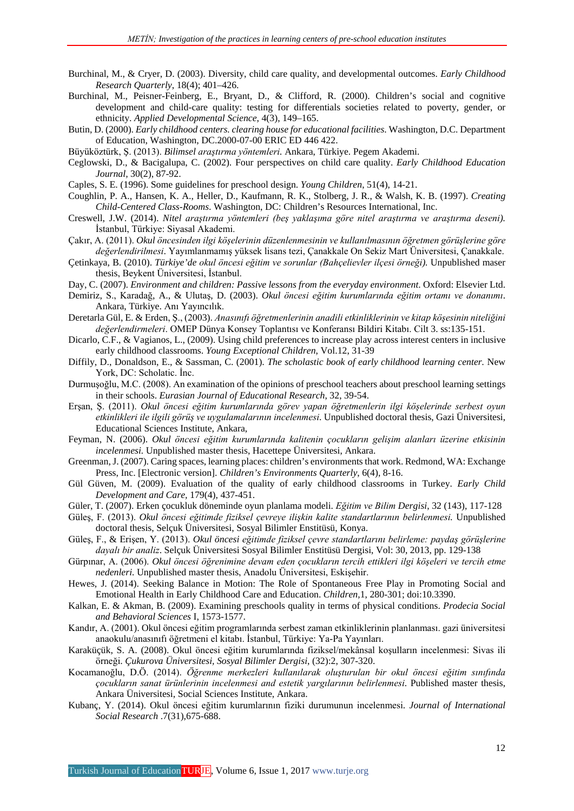- Burchinal, M., & Cryer, D. (2003). Diversity, child care quality, and developmental outcomes. *Early Childhood Research Quarterly*, 18(4); 401–426.
- Burchinal, M., Peisner-Feinberg, E., Bryant, D., & Clifford, R. (2000). Children's social and cognitive development and child-care quality: testing for differentials societies related to poverty, gender, or ethnicity. *Applied Developmental Science*, 4(3), 149–165.
- Butin, D. (2000). *Early childhood centers. clearing house for educational facilities*. Washington, D.C. Department of Education, Washington, DC.2000-07-00 ERIC ED 446 422.
- Büyüköztürk, Ş. (2013). *Bilimsel araştırma yöntemleri.* Ankara, Türkiye. Pegem Akademi.
- Ceglowski, D., & Bacigalupa, C. (2002). Four perspectives on child care quality. *Early Childhood Education Journal,* 30(2), 87-92.
- Caples, S. E. (1996). Some guidelines for preschool design. *Young Children*, 51(4), 14-21.
- Coughlin, P. A., Hansen, K. A., Heller, D., Kaufmann, R. K., Stolberg, J. R., & Walsh, K. B. (1997). *Creating Child-Centered Class-Rooms*. Washington, DC: Children's Resources International, Inc.
- Creswell, J.W. (2014). *Nitel araştırma yöntemleri (beş yaklaşıma göre nitel araştırma ve araştırma deseni).* İstanbul, Türkiye: Siyasal Akademi.
- Çakır, A. (2011). *Okul öncesinden ilgi köşelerinin düzenlenmesinin ve kullanılmasının öğretmen görüşlerine göre değerlendirilmesi*. Yayımlanmamış yüksek lisans tezi, Çanakkale On Sekiz Mart Üniversitesi, Çanakkale.
- Çetinkaya, B. (2010). *Türkiye'de okul öncesi eğitim ve sorunlar (Bahçelievler ilçesi örneği).* Unpublished maser thesis, Beykent Üniversitesi, İstanbul.
- Day, C. (2007). *Environment and children: Passive lessons from the everyday environment*. Oxford: Elsevier Ltd.
- Demiriz, S., Karadağ, A., & Ulutaş, D. (2003). *Okul öncesi eğitim kurumlarında eğitim ortamı ve donanımı*. Ankara, Türkiye. Anı Yayıncılık.
- Deretarla Gül, E. & Erden, Ş., (2003). *Anasınıfı öğretmenlerinin anadili etkinliklerinin ve kitap köşesinin niteliğini değerlendirmeleri*. OMEP Dünya Konsey Toplantısı ve Konferansı Bildiri Kitabı. Cilt 3. ss:135-151.
- Dicarlo, C.F., & Vagianos, L., (2009). Using child preferences to increase play across interest centers in inclusive early childhood classrooms. *Young Exceptional Children*, Vol.12, 31-39
- Diffily, D., Donaldson, E., & Sassman, C. (2001). *The scholastic book of early childhood learning center.* New York, DC: Scholatic. İnc.
- Durmuşoğlu, M.C. (2008). An examination of the opinions of preschool teachers about preschool learning settings in their schools. *Eurasian Journal of Educational Research*, 32, 39-54.
- Erşan, Ş. (2011). *Okul öncesi eğitim kurumlarında görev yapan öğretmenlerin ilgi köşelerinde serbest oyun etkinlikleri ile ilgili görüş ve uygulamalarının incelenmesi*. Unpublished doctoral thesis, Gazi Üniversitesi, Educational Sciences Institute, Ankara,
- Feyman, N. (2006). *Okul öncesi eğitim kurumlarında kalitenin çocukların gelişim alanları üzerine etkisinin incelenmesi.* Unpublished master thesis, Hacettepe Üniversitesi, Ankara.
- Greenman, J. (2007). Caring spaces, learning places: children's environments that work. Redmond, WA: Exchange Press, Inc. [Electronic version]. *Children's Environments Quarterly*, 6(4), 8-16.
- Gül Güven, M. (2009). Evaluation of the quality of early childhood classrooms in Turkey. *Early Child Development and Care,* 179(4), 437-451.
- Güler, T. (2007). Erken çocukluk döneminde oyun planlama modeli. *Eğitim ve Bilim Dergisi*, 32 (143), 117-128
- Güleş, F. (2013). *Okul öncesi eğitimde fiziksel çevreye ilişkin kalite standartlarının belirlenmesi.* Unpublished doctoral thesis, Selçuk Üniversitesi, Sosyal Bilimler Enstitüsü, Konya.
- Güleş, F., & Erişen, Y. (2013). *Okul öncesi eğitimde fiziksel çevre standartlarını belirleme: paydaş görüşlerine dayalı bir analiz*. Selçuk Üniversitesi Sosyal Bilimler Enstitüsü Dergisi, Vol: 30, 2013, pp. 129-138
- Gürpınar, A. (2006). *Okul öncesi öğrenimine devam eden çocukların tercih ettikleri ilgi köşeleri ve tercih etme nedenleri.* Unpublished master thesis, Anadolu Üniversitesi, Eskişehir.
- Hewes, J. (2014). Seeking Balance in Motion: The Role of Spontaneous Free Play in Promoting Social and Emotional Health in Early Childhood Care and Education. *Children,*1, 280-301; doi:10.3390.
- Kalkan, E. & Akman, B. (2009). Examining preschools quality in terms of physical conditions. *Prodecia Social and Behavioral Sciences* I, 1573-1577.
- Kandır, A. (2001). Okul öncesi eğitim programlarında serbest zaman etkinliklerinin planlanması. gazi üniversitesi anaokulu/anasınıfı öğretmeni el kitabı. İstanbul, Türkiye: Ya-Pa Yayınları.
- Karaküçük, S. A. (2008). Okul öncesi eğitim kurumlarında fiziksel/mekânsal koşulların incelenmesi: Sivas ili örneği. *Çukurova Üniversitesi, Sosyal Bilimler Dergisi*, (32):2, 307-320.
- Kocamanoğlu, D.Ö. (2014). *Öğrenme merkezleri kullanılarak oluşturulan bir okul öncesi eğitim sınıfında çocukların sanat ürünlerinin incelenmesi and estetik yargılarının belirlenmesi*. Published master thesis, Ankara Üniversitesi, Social Sciences Institute, Ankara.
- Kubanç, Y. (2014). Okul öncesi eğitim kurumlarının fiziki durumunun incelenmesi. *Journal of International Social Research* .7(31),675-688.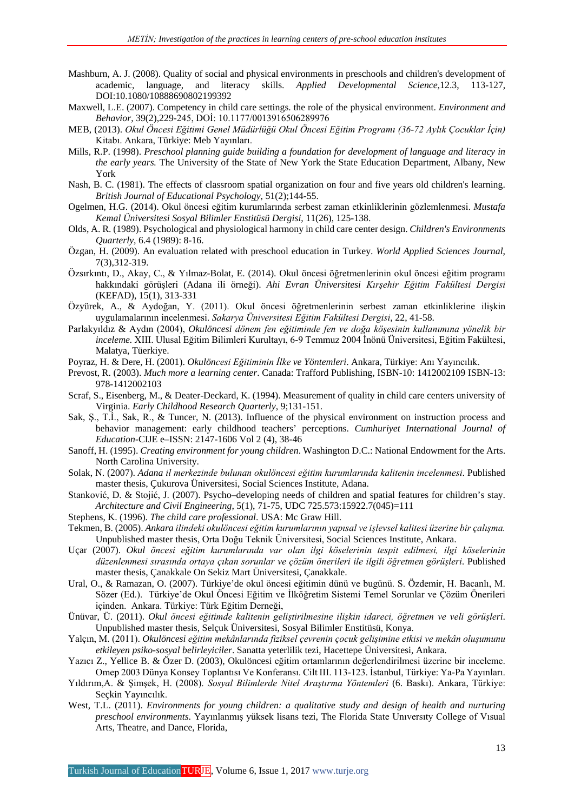- Mashburn, A. J. (2008). Quality of social and physical environments in preschools and children's development of academic, language, and literacy skills. *Applied Developmental Science*,12.3, 113-127, DOI:10.1080/10888690802199392
- Maxwell, L.E. (2007). Competency in child care settings. the role of the physical environment. *Environment and Behavior*, 39(2),229-245, DOİ: 10.1177/0013916506289976
- MEB, (2013). *Okul Öncesi Eğitimi Genel Müdürlüğü Okul Öncesi Eğitim Programı (36-72 Aylık Çocuklar İçin)* Kitabı. Ankara, Türkiye: Meb Yayınları.
- Mills, R.P. (1998). *Preschool planning guide building a foundation for development of language and literacy in the early years.* The University of the State of New York the State Education Department, Albany, New York
- Nash, B. C. (1981). The effects of classroom spatial organization on four and five years old children's learning. *British Journal of Educational Psychology*, 51(2);144-55.
- Ogelmen, H.G. (2014). Okul öncesi eğitim kurumlarında serbest zaman etkinliklerinin gözlemlenmesi. *Mustafa Kemal Üniversitesi Sosyal Bilimler Enstitüsü Dergisi*, 11(26), 125-138.
- Olds, A. R. (1989). Psychological and physiological harmony in child care center design. *Children's Environments Quarterly,* 6.4 (1989): 8-16.
- Özgan, H. (2009). An evaluation related with preschool education in Turkey. *World Applied Sciences Journal*, 7(3),312-319.
- Özsırkıntı, D., Akay, C., & Yılmaz-Bolat, E. (2014). Okul öncesi öğretmenlerinin okul öncesi eğitim programı hakkındaki görüşleri (Adana ili örneği). *Ahi Evran Üniversitesi Kırşehir Eğitim Fakültesi Dergisi* (KEFAD), 15(1), 313-331
- Özyürek, A., & Aydoğan, Y. (2011). Okul öncesi öğretmenlerinin serbest zaman etkinliklerine ilişkin uygulamalarının incelenmesi. *Sakarya Üniversitesi Eğitim Fakültesi Dergisi*, 22, 41-58.
- Parlakyıldız & Aydın (2004), *Okulöncesi dönem fen eğitiminde fen ve doğa köşesinin kullanımına yönelik bir inceleme.* XIII. Ulusal Eğitim Bilimleri Kurultayı, 6-9 Temmuz 2004 İnönü Üniversitesi, Eğitim Fakültesi, Malatya, Tüerkiye.
- Poyraz, H. & Dere, H. (2001). *Okulöncesi Eğitiminin İlke ve Yöntemleri*. Ankara, Türkiye: Anı Yayıncılık.
- Prevost, R. (2003). *Much more a learning center*. Canada: Trafford Publishing, ISBN-10: 1412002109 ISBN-13: 978-1412002103
- Scraf, S., Eisenberg, M., & Deater-Deckard, K. (1994). Measurement of quality in child care centers university of Virginia. *Early Childhood Research Quarterly*, 9;131-151.
- Sak, Ş., T.İ., Sak, R., & Tuncer, N. (2013). Influence of the physical environment on instruction process and behavior management: early childhood teachers' perceptions. *Cumhuriyet International Journal of Education-*CIJE e–ISSN: 2147-1606 Vol 2 (4), 38-46
- Sanoff, H. (1995). *Creating environment for young children*. Washington D.C.: National Endowment for the Arts. North Carolina University.
- Solak, N. (2007). *Adana il merkezinde bulunan okulöncesi eğitim kurumlarında kalitenin incelenmesi*. Published master thesis, Çukurova Üniversitesi, Social Sciences Institute, Adana.
- Stanković, D. & Stojić, J. (2007). Psycho–developing needs of children and spatial features for children's stay. *Architecture and Civil Engineering*, 5(1), 71-75, UDC 725.573:15922.7(045)=111
- Stephens, K. (1996). *The child care professional*. USA: Mc Graw Hill.
- Tekmen, B. (2005). *Ankara ilindeki okulöncesi eğitim kurumlarının yapısal ve işlevsel kalitesi üzerine bir çalışma.* Unpublished master thesis, Orta Doğu Teknik Üniversitesi, Social Sciences Institute, Ankara.
- Uçar (2007). *Okul öncesi eğitim kurumlarında var olan ilgi köselerinin tespit edilmesi, ilgi köselerinin düzenlenmesi sırasında ortaya çıkan sorunlar ve çözüm önerileri ile ilgili öğretmen görüşleri*. Published master thesis, Çanakkale On Sekiz Mart Üniversitesi, Çanakkale.
- Ural, O., & Ramazan, O. (2007). Türkiye'de okul öncesi eğitimin dünü ve bugünü. S. Özdemir, H. Bacanlı, M. Sözer (Ed.). Türkiye'de Okul Öncesi Eğitim ve İlköğretim Sistemi Temel Sorunlar ve Çözüm Önerileri içinden. Ankara. Türkiye: Türk Eğitim Derneği,
- Ünüvar, Ü. (2011). *Okul öncesi eğitimde kalitenin geliştirilmesine ilişkin idareci, öğretmen ve veli görüşleri*. Unpublished master thesis, Selçuk Üniversitesi, Sosyal Bilimler Enstitüsü, Konya.
- Yalçın, M. (2011). *Okulöncesi eğitim mekânlarında fiziksel çevrenin çocuk gelişimine etkisi ve mekân oluşumunu etkileyen psiko-sosyal belirleyiciler*. Sanatta yeterlilik tezi, Hacettepe Üniversitesi, Ankara.
- Yazıcı Z., Yellice B. & Özer D. (2003), Okulöncesi eğitim ortamlarının değerlendirilmesi üzerine bir inceleme. Omep 2003 Dünya Konsey Toplantısı Ve Konferansı. Cilt III. 113-123. İstanbul, Türkiye: Ya-Pa Yayınları.
- Yıldırım,A. & Şimşek, H. (2008). *Sosyal Bilimlerde Nitel Araştırma Yöntemleri* (6. Baskı). Ankara, Türkiye: Seçkin Yayıncılık.
- West, T.L. (2011). *Environments for young children: a qualitative study and design of health and nurturing preschool environments*. Yayınlanmış yüksek lisans tezi, The Florida State Unıversıty College of Vısual Arts, Theatre, and Dance, Florida,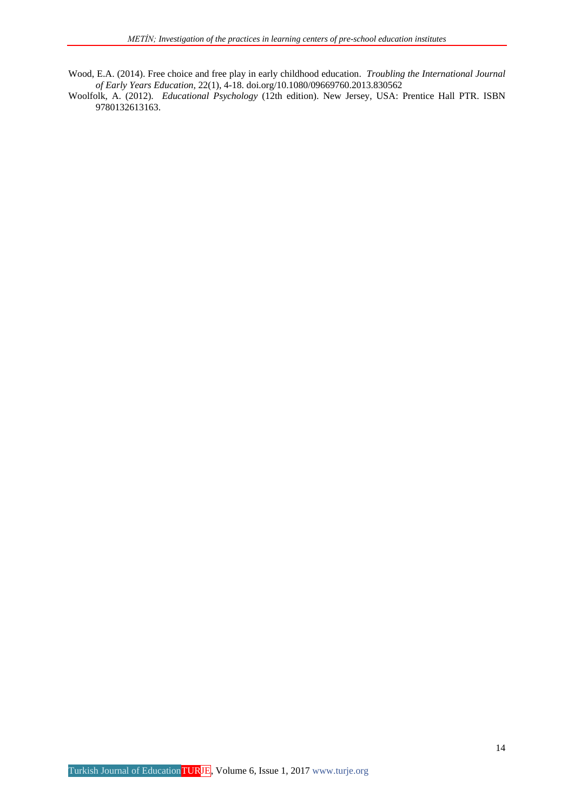Wood, E.A. (2014). Free choice and free play in early childhood education. *Troubling the International Journal of Early Years Education,* 22(1), 4-18. doi.org/10.1080/09669760.2013.830562

Woolfolk, A. (2012). *Educational Psychology* (12th edition). New Jersey, USA: Prentice Hall PTR. ISBN 9780132613163.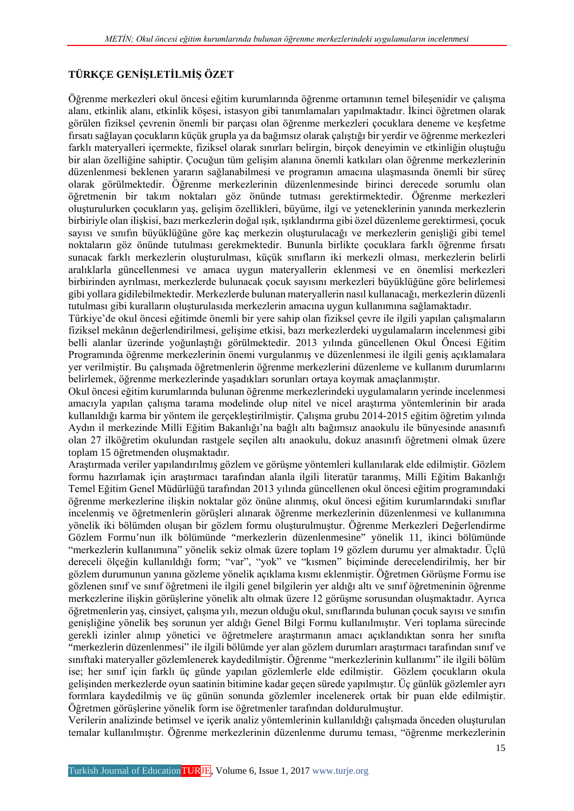## **TÜRKÇE GENİŞLETİLMİŞ ÖZET**

Öğrenme merkezleri okul öncesi eğitim kurumlarında öğrenme ortamının temel bileşenidir ve çalışma alanı, etkinlik alanı, etkinlik köşesi, istasyon gibi tanımlamaları yapılmaktadır. İkinci öğretmen olarak görülen fiziksel çevrenin önemli bir parçası olan öğrenme merkezleri çocuklara deneme ve keşfetme fırsatı sağlayan çocukların küçük grupla ya da bağımsız olarak çalıştığı bir yerdir ve öğrenme merkezleri farklı materyalleri içermekte, fiziksel olarak sınırları belirgin, birçok deneyimin ve etkinliğin oluştuğu bir alan özelliğine sahiptir. Çocuğun tüm gelişim alanına önemli katkıları olan öğrenme merkezlerinin düzenlenmesi beklenen yararın sağlanabilmesi ve programın amacına ulaşmasında önemli bir süreç olarak görülmektedir. Öğrenme merkezlerinin düzenlenmesinde birinci derecede sorumlu olan öğretmenin bir takım noktaları göz önünde tutması gerektirmektedir. Öğrenme merkezleri oluşturulurken çocukların yaş, gelişim özellikleri, büyüme, ilgi ve yeteneklerinin yanında merkezlerin birbiriyle olan ilişkisi, bazı merkezlerin doğal ışık, ışıklandırma gibi özel düzenleme gerektirmesi, çocuk sayısı ve sınıfın büyüklüğüne göre kaç merkezin oluşturulacağı ve merkezlerin genişliği gibi temel noktaların göz önünde tutulması gerekmektedir. Bununla birlikte çocuklara farklı öğrenme fırsatı sunacak farklı merkezlerin oluşturulması, küçük sınıfların iki merkezli olması, merkezlerin belirli aralıklarla güncellenmesi ve amaca uygun materyallerin eklenmesi ve en önemlisi merkezleri birbirinden ayrılması, merkezlerde bulunacak çocuk sayısını merkezleri büyüklüğüne göre belirlemesi gibi yollara gidilebilmektedir. Merkezlerde bulunan materyallerin nasıl kullanacağı, merkezlerin düzenli tutulması gibi kuralların oluşturulasıda merkezlerin amacına uygun kullanımına sağlamaktadır.

Türkiye'de okul öncesi eğitimde önemli bir yere sahip olan fiziksel çevre ile ilgili yapılan çalışmaların fiziksel mekânın değerlendirilmesi, gelişime etkisi, bazı merkezlerdeki uygulamaların incelenmesi gibi belli alanlar üzerinde yoğunlaştığı görülmektedir. 2013 yılında güncellenen Okul Öncesi Eğitim Programında öğrenme merkezlerinin önemi vurgulanmış ve düzenlenmesi ile ilgili geniş açıklamalara yer verilmiştir. Bu çalışmada öğretmenlerin öğrenme merkezlerini düzenleme ve kullanım durumlarını belirlemek, öğrenme merkezlerinde yaşadıkları sorunları ortaya koymak amaçlanmıştır.

Okul öncesi eğitim kurumlarında bulunan öğrenme merkezlerindeki uygulamaların yerinde incelenmesi amacıyla yapılan çalışma tarama modelinde olup nitel ve nicel araştırma yöntemlerinin bir arada kullanıldığı karma bir yöntem ile gerçekleştirilmiştir. Çalışma grubu 2014-2015 eğitim öğretim yılında Aydın il merkezinde Milli Eğitim Bakanlığı'na bağlı altı bağımsız anaokulu ile bünyesinde anasınıfı olan 27 ilköğretim okulundan rastgele seçilen altı anaokulu, dokuz anasınıfı öğretmeni olmak üzere toplam 15 öğretmenden oluşmaktadır.

Araştırmada veriler yapılandırılmış gözlem ve görüşme yöntemleri kullanılarak elde edilmiştir. Gözlem formu hazırlamak için araştırmacı tarafından alanla ilgili literatür taranmış, Milli Eğitim Bakanlığı Temel Eğitim Genel Müdürlüğü tarafından 2013 yılında güncellenen okul öncesi eğitim programındaki öğrenme merkezlerine ilişkin noktalar göz önüne alınmış, okul öncesi eğitim kurumlarındaki sınıflar incelenmiş ve öğretmenlerin görüşleri alınarak öğrenme merkezlerinin düzenlenmesi ve kullanımına yönelik iki bölümden oluşan bir gözlem formu oluşturulmuştur. Öğrenme Merkezleri Değerlendirme Gözlem Formu'nun ilk bölümünde "merkezlerin düzenlenmesine" yönelik 11, ikinci bölümünde "merkezlerin kullanımına" yönelik sekiz olmak üzere toplam 19 gözlem durumu yer almaktadır. Üçlü dereceli ölçeğin kullanıldığı form; "var", "yok" ve "kısmen" biçiminde derecelendirilmiş, her bir gözlem durumunun yanına gözleme yönelik açıklama kısmı eklenmiştir. Öğretmen Görüşme Formu ise gözlenen sınıf ve sınıf öğretmeni ile ilgili genel bilgilerin yer aldığı altı ve sınıf öğretmeninin öğrenme merkezlerine ilişkin görüşlerine yönelik altı olmak üzere 12 görüşme sorusundan oluşmaktadır. Ayrıca öğretmenlerin yaş, cinsiyet, çalışma yılı, mezun olduğu okul, sınıflarında bulunan çocuk sayısı ve sınıfın genişliğine yönelik beş sorunun yer aldığı Genel Bilgi Formu kullanılmıştır. Veri toplama sürecinde gerekli izinler alınıp yönetici ve öğretmelere araştırmanın amacı açıklandıktan sonra her sınıfta "merkezlerin düzenlenmesi" ile ilgili bölümde yer alan gözlem durumları araştırmacı tarafından sınıf ve sınıftaki materyaller gözlemlenerek kaydedilmiştir. Öğrenme "merkezlerinin kullanımı" ile ilgili bölüm ise; her sınıf için farklı üç günde yapılan gözlemlerle elde edilmiştir. Gözlem çocukların okula gelişinden merkezlerde oyun saatinin bitimine kadar geçen sürede yapılmıştır. Üç günlük gözlemler ayrı formlara kaydedilmiş ve üç günün sonunda gözlemler incelenerek ortak bir puan elde edilmiştir. Öğretmen görüşlerine yönelik form ise öğretmenler tarafından doldurulmuştur.

Verilerin analizinde betimsel ve içerik analiz yöntemlerinin kullanıldığı çalışmada önceden oluşturulan temalar kullanılmıştır. Öğrenme merkezlerinin düzenlenme durumu teması, "öğrenme merkezlerinin